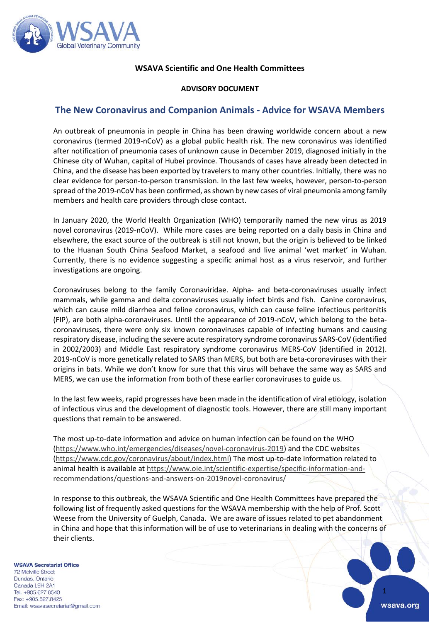

# **WSAVA Scientific and One Health Committees**

# **ADVISORY DOCUMENT**

# **The New Coronavirus and Companion Animals - Advice for WSAVA Members**

An outbreak of pneumonia in people in China has been drawing worldwide concern about a new coronavirus (termed 2019-nCoV) as a global public health risk. The new coronavirus was identified after notification of pneumonia cases of unknown cause in December 2019, diagnosed initially in the Chinese city of Wuhan, capital of Hubei province. Thousands of cases have already been detected in China, and the disease has been exported by travelers to many other countries. Initially, there was no clear evidence for person-to-person transmission. In the last few weeks, however, person-to-person spread of the 2019-nCoV has been confirmed, as shown by new cases of viral pneumonia among family members and health care providers through close contact.

In January 2020, the World Health Organization (WHO) temporarily named the new virus as 2019 novel coronavirus (2019-nCoV). While more cases are being reported on a daily basis in China and elsewhere, the exact source of the outbreak is still not known, but the origin is believed to be linked to the Huanan South China Seafood Market, a seafood and live animal 'wet market' in Wuhan. Currently, there is no evidence suggesting a specific animal host as a virus reservoir, and further investigations are ongoing.

Coronaviruses belong to the family Coronaviridae. Alpha- and beta-coronaviruses usually infect mammals, while gamma and delta coronaviruses usually infect birds and fish. Canine coronavirus, which can cause mild diarrhea and feline coronavirus, which can cause feline infectious peritonitis (FIP), are both alpha-coronaviruses. Until the appearance of 2019-nCoV, which belong to the betacoronaviruses, there were only six known coronaviruses capable of infecting humans and causing respiratory disease, including the severe acute respiratory syndrome coronavirus SARS-CoV (identified in 2002/2003) and Middle East respiratory syndrome coronavirus MERS-CoV (identified in 2012). 2019-nCoV is more genetically related to SARS than MERS, but both are beta-coronaviruses with their origins in bats. While we don't know for sure that this virus will behave the same way as SARS and MERS, we can use the information from both of these earlier coronaviruses to guide us.

In the last few weeks, rapid progresses have been made in the identification of viral etiology, isolation of infectious virus and the development of diagnostic tools. However, there are still many important questions that remain to be answered.

The most up-to-date information and advice on human infection can be found on the WHO [\(https://www.who.int/emergencies/diseases/novel-coronavirus-2019\)](https://www.who.int/emergencies/diseases/novel-coronavirus-2019) and the CDC websites [\(https://www.cdc.gov/coronavirus/about/index.html\)](https://www.cdc.gov/coronavirus/about/index.html) The most up-to-date information related to animal health is available a[t https://www.oie.int/scientific-expertise/specific-information-and](https://www.oie.int/scientific-expertise/specific-information-and-recommendations/questions-and-answers-on-2019novel-coronavirus/)[recommendations/questions-and-answers-on-2019novel-coronavirus/](https://www.oie.int/scientific-expertise/specific-information-and-recommendations/questions-and-answers-on-2019novel-coronavirus/)

In response to this outbreak, the WSAVA Scientific and One Health Committees have prepared the following list of frequently asked questions for the WSAVA membership with the help of Prof. Scott Weese from the University of Guelph, Canada. We are aware of issues related to pet abandonment in China and hope that this information will be of use to veterinarians in dealing with the concerns of their clients.

#### **WSAVA Secretariat Office**

**72 Melville Street** Dundas, Ontario Canada L9H 2A1 Tel: +905,627,8540 Fax: +905.627.8425 Email: wsavasecretariat@gmail.com

1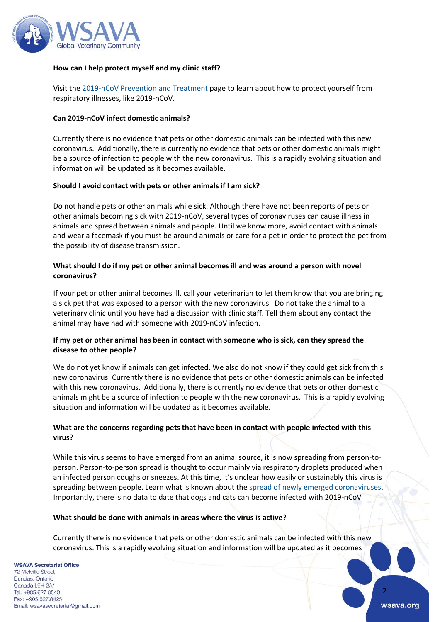

### **How can I help protect myself and my clinic staff?**

Visit the [2019-nCoV Prevention and Treatment](https://www.cdc.gov/coronavirus/2019-ncov/about/prevention-treatment.html) page to learn about how to protect yourself from respiratory illnesses, like 2019-nCoV.

#### **Can 2019-nCoV infect domestic animals?**

Currently there is no evidence that pets or other domestic animals can be infected with this new coronavirus. Additionally, there is currently no evidence that pets or other domestic animals might be a source of infection to people with the new coronavirus. This is a rapidly evolving situation and information will be updated as it becomes available.

#### **Should I avoid contact with pets or other animals if I am sick?**

Do not handle pets or other animals while sick. Although there have not been reports of pets or other animals becoming sick with 2019-nCoV, several types of coronaviruses can cause illness in animals and spread between animals and people. Until we know more, avoid contact with animals and wear a facemask if you must be around animals or care for a pet in order to protect the pet from the possibility of disease transmission.

### **What should I do if my pet or other animal becomes ill and was around a person with novel coronavirus?**

If your pet or other animal becomes ill, call your veterinarian to let them know that you are bringing a sick pet that was exposed to a person with the new coronavirus. Do not take the animal to a veterinary clinic until you have had a discussion with clinic staff. Tell them about any contact the animal may have had with someone with 2019-nCoV infection.

### **If my pet or other animal has been in contact with someone who is sick, can they spread the disease to other people?**

We do not yet know if animals can get infected. We also do not know if they could get sick from this new coronavirus. Currently there is no evidence that pets or other domestic animals can be infected with this new coronavirus. Additionally, there is currently no evidence that pets or other domestic animals might be a source of infection to people with the new coronavirus. This is a rapidly evolving situation and information will be updated as it becomes available.

# **What are the concerns regarding pets that have been in contact with people infected with this virus?**

While this virus seems to have emerged from an animal source, it is now spreading from person-toperson. Person-to-person spread is thought to occur mainly via respiratory droplets produced when an infected person coughs or sneezes. At this time, it's unclear how easily or sustainably this virus is spreading between people. Learn what is known about the [spread of newly emerged coronaviruses.](https://www.cdc.gov/coronavirus/2019-ncov/about/transmission.html) Importantly, there is no data to date that dogs and cats can become infected with 2019-nCoV

### **What should be done with animals in areas where the virus is active?**

Currently there is no evidence that pets or other domestic animals can be infected with this new coronavirus. This is a rapidly evolving situation and information will be updated as it becomes

**WSAVA Secretariat Office 72 Melville Street** Dundas, Ontario Canada L9H 2A1 Tel: +905,627,8540 Fax: +905.627.8425 Email: wsavasecretariat@gmail.com

2